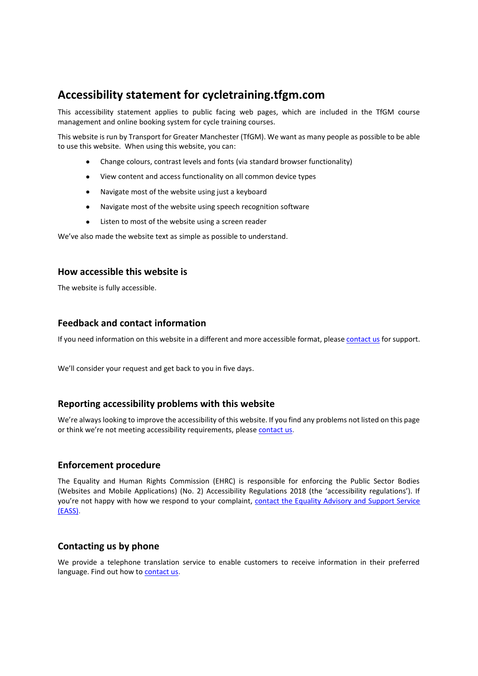# **Accessibility statement for cycletraining.tfgm.com**

This accessibility statement applies to public facing web pages, which are included in the TfGM course management and online booking system for cycle training courses.

This website is run by Transport for Greater Manchester (TfGM). We want as many people as possible to be able to use this website. When using this website, you can:

- Change colours, contrast levels and fonts (via standard browser functionality)
- View content and access functionality on all common device types
- Navigate most of the website using just a keyboard
- Navigate most of the website using speech recognition software
- Listen to most of the website using a screen reader

We've also made the website text as simple as possible to understand.

### **How accessible this website is**

The website is fully accessible.

# **Feedback and contact information**

If you need information on this website in a different and more accessible format, pleas[e contact us](https://tfgm.com/contact) for support.

We'll consider your request and get back to you in five days.

# **Reporting accessibility problems with this website**

We're always looking to improve the accessibility of this website. If you find any problems not listed on this page or think we're not meeting accessibility requirements, please [contact](https://tfgm.com/contact) us.

#### **Enforcement procedure**

The Equality and Human Rights Commission (EHRC) is responsible for enforcing the Public Sector Bodies (Websites and Mobile Applications) (No. 2) Accessibility Regulations 2018 (the 'accessibility regulations'). If you're not happy with how we respond to your complaint, [contact the Equality Advisory and Support Service](https://www.equalityadvisoryservice.com/)  [\(EASS\).](https://www.equalityadvisoryservice.com/)

# **Contacting us by phone**

We provide a telephone translation service to enable customers to receive information in their preferred language. Find out how to [contact us.](https://tfgm.com/contact)